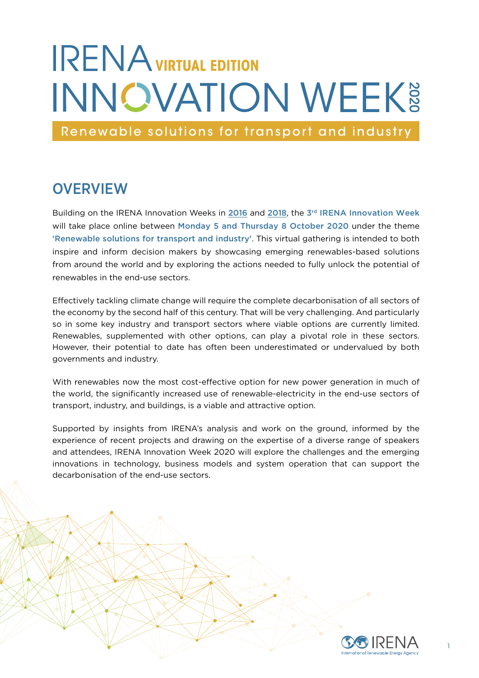# **IRENA** VIRTUAL EDITION **INNOVATION WEEK®**

Renewable solutions for transport and industry

### **OVERVIEW**

Building on the IRENA Innovation Weeks in [2016](https://innovationweek.irena.org/Previous-Events/2016) and [2018](https://innovationweek.irena.org/Previous-Events/2018), the 3<sup>rd</sup> IRENA Innovation Week will take place online between Monday 5 and Thursday 8 October 2020 under the theme 'Renewable solutions for transport and industry'. This virtual gathering is intended to both inspire and inform decision makers by showcasing emerging renewables-based solutions from around the world and by exploring the actions needed to fully unlock the potential of renewables in the end-use sectors.

Effectively tackling climate change will require the complete decarbonisation of all sectors of the economy by the second half of this century. That will be very challenging. And particularly so in some key industry and transport sectors where viable options are currently limited. Renewables, supplemented with other options, can play a pivotal role in these sectors. However, their potential to date has often been underestimated or undervalued by both governments and industry.

With renewables now the most cost-effective option for new power generation in much of the world, the significantly increased use of renewable-electricity in the end-use sectors of transport, industry, and buildings, is a viable and attractive option.

Supported by insights from IRENA's analysis and work on the ground, informed by the experience of recent projects and drawing on the expertise of a diverse range of speakers and attendees, IRENA Innovation Week 2020 will explore the challenges and the emerging innovations in technology, business models and system operation that can support the decarbonisation of the end-use sectors.